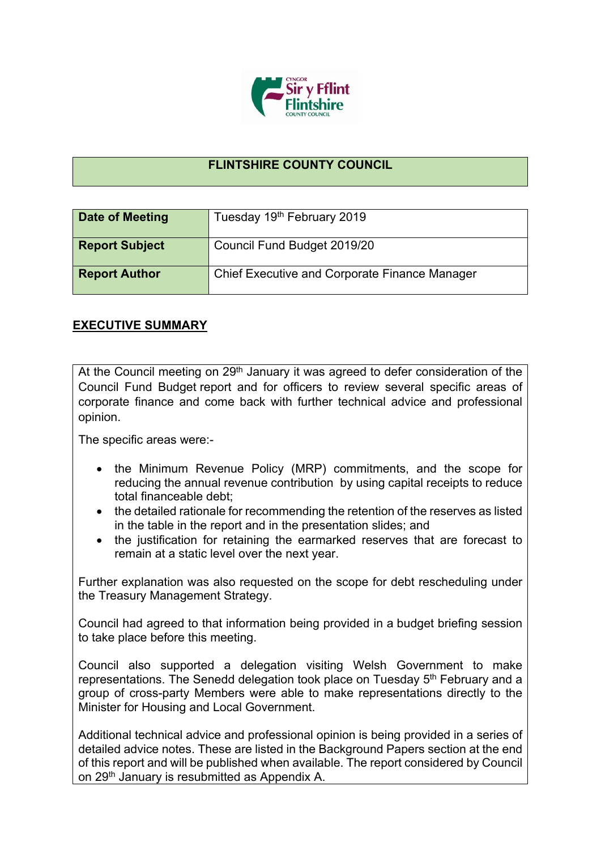

## **FLINTSHIRE COUNTY COUNCIL**

| Date of Meeting       | Tuesday 19th February 2019                           |
|-----------------------|------------------------------------------------------|
| <b>Report Subject</b> | Council Fund Budget 2019/20                          |
| <b>Report Author</b>  | <b>Chief Executive and Corporate Finance Manager</b> |

## **EXECUTIVE SUMMARY**

At the Council meeting on 29<sup>th</sup> January it was agreed to defer consideration of the Council Fund Budget report and for officers to review several specific areas of corporate finance and come back with further technical advice and professional opinion.

The specific areas were:-

- the Minimum Revenue Policy (MRP) commitments, and the scope for reducing the annual revenue contribution by using capital receipts to reduce total financeable debt;
- the detailed rationale for recommending the retention of the reserves as listed in the table in the report and in the presentation slides; and
- the justification for retaining the earmarked reserves that are forecast to remain at a static level over the next year.

Further explanation was also requested on the scope for debt rescheduling under the Treasury Management Strategy.

Council had agreed to that information being provided in a budget briefing session to take place before this meeting.

Council also supported a delegation visiting Welsh Government to make representations. The Senedd delegation took place on Tuesday 5<sup>th</sup> February and a group of cross-party Members were able to make representations directly to the Minister for Housing and Local Government.

Additional technical advice and professional opinion is being provided in a series of detailed advice notes. These are listed in the Background Papers section at the end of this report and will be published when available. The report considered by Council on 29th January is resubmitted as Appendix A.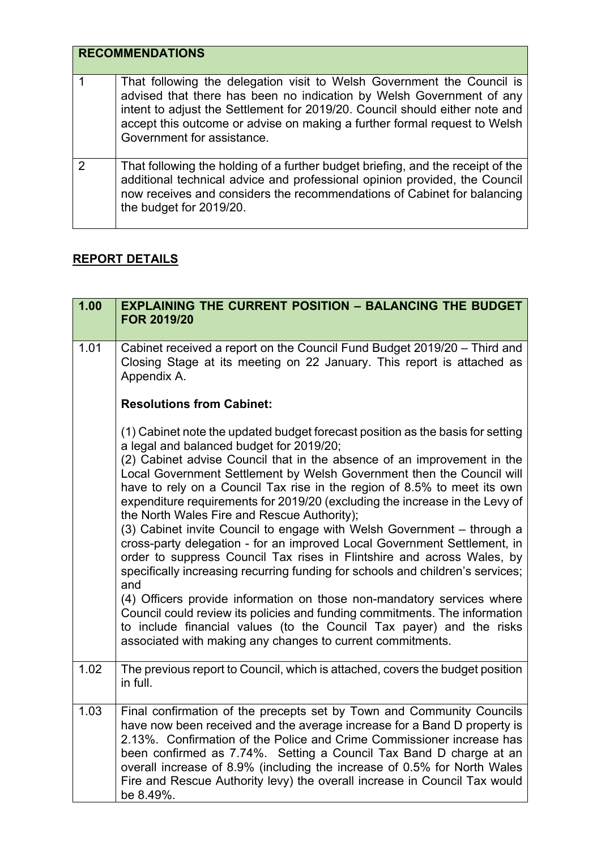| <b>RECOMMENDATIONS</b> |  |
|------------------------|--|
|------------------------|--|

|               | That following the delegation visit to Welsh Government the Council is<br>advised that there has been no indication by Welsh Government of any<br>intent to adjust the Settlement for 2019/20. Council should either note and<br>accept this outcome or advise on making a further formal request to Welsh<br>Government for assistance. |
|---------------|------------------------------------------------------------------------------------------------------------------------------------------------------------------------------------------------------------------------------------------------------------------------------------------------------------------------------------------|
| $\mathcal{P}$ | That following the holding of a further budget briefing, and the receipt of the<br>additional technical advice and professional opinion provided, the Council<br>now receives and considers the recommendations of Cabinet for balancing<br>the budget for 2019/20.                                                                      |

## **REPORT DETAILS**

| 1.00 | <b>EXPLAINING THE CURRENT POSITION - BALANCING THE BUDGET</b><br><b>FOR 2019/20</b>                                                                                                                                                                                                                                                                                                                                                                                                                                                                                                                                                                                                                                                                                                                                                                                                                                                                                                                                                                                                                             |
|------|-----------------------------------------------------------------------------------------------------------------------------------------------------------------------------------------------------------------------------------------------------------------------------------------------------------------------------------------------------------------------------------------------------------------------------------------------------------------------------------------------------------------------------------------------------------------------------------------------------------------------------------------------------------------------------------------------------------------------------------------------------------------------------------------------------------------------------------------------------------------------------------------------------------------------------------------------------------------------------------------------------------------------------------------------------------------------------------------------------------------|
| 1.01 | Cabinet received a report on the Council Fund Budget 2019/20 - Third and<br>Closing Stage at its meeting on 22 January. This report is attached as<br>Appendix A.                                                                                                                                                                                                                                                                                                                                                                                                                                                                                                                                                                                                                                                                                                                                                                                                                                                                                                                                               |
|      | <b>Resolutions from Cabinet:</b>                                                                                                                                                                                                                                                                                                                                                                                                                                                                                                                                                                                                                                                                                                                                                                                                                                                                                                                                                                                                                                                                                |
|      | (1) Cabinet note the updated budget forecast position as the basis for setting<br>a legal and balanced budget for 2019/20;<br>(2) Cabinet advise Council that in the absence of an improvement in the<br>Local Government Settlement by Welsh Government then the Council will<br>have to rely on a Council Tax rise in the region of 8.5% to meet its own<br>expenditure requirements for 2019/20 (excluding the increase in the Levy of<br>the North Wales Fire and Rescue Authority);<br>(3) Cabinet invite Council to engage with Welsh Government - through a<br>cross-party delegation - for an improved Local Government Settlement, in<br>order to suppress Council Tax rises in Flintshire and across Wales, by<br>specifically increasing recurring funding for schools and children's services;<br>and<br>(4) Officers provide information on those non-mandatory services where<br>Council could review its policies and funding commitments. The information<br>to include financial values (to the Council Tax payer) and the risks<br>associated with making any changes to current commitments. |
| 1.02 | The previous report to Council, which is attached, covers the budget position<br>in full.                                                                                                                                                                                                                                                                                                                                                                                                                                                                                                                                                                                                                                                                                                                                                                                                                                                                                                                                                                                                                       |
| 1.03 | Final confirmation of the precepts set by Town and Community Councils<br>have now been received and the average increase for a Band D property is<br>2.13%. Confirmation of the Police and Crime Commissioner increase has<br>been confirmed as 7.74%. Setting a Council Tax Band D charge at an<br>overall increase of 8.9% (including the increase of 0.5% for North Wales<br>Fire and Rescue Authority levy) the overall increase in Council Tax would<br>be 8.49%.                                                                                                                                                                                                                                                                                                                                                                                                                                                                                                                                                                                                                                          |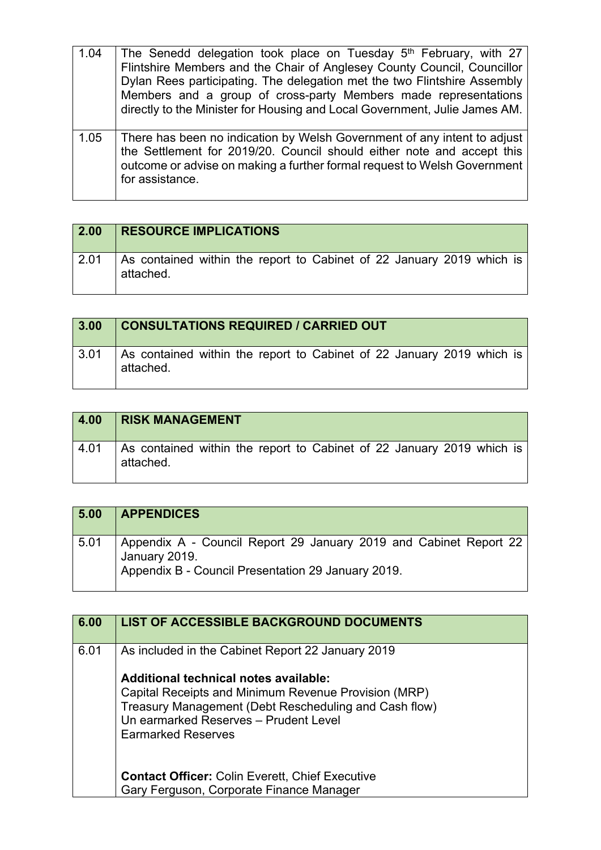| 1.04 | The Senedd delegation took place on Tuesday 5 <sup>th</sup> February, with 27<br>Flintshire Members and the Chair of Anglesey County Council, Councillor<br>Dylan Rees participating. The delegation met the two Flintshire Assembly<br>Members and a group of cross-party Members made representations<br>directly to the Minister for Housing and Local Government, Julie James AM. |
|------|---------------------------------------------------------------------------------------------------------------------------------------------------------------------------------------------------------------------------------------------------------------------------------------------------------------------------------------------------------------------------------------|
| 1.05 | There has been no indication by Welsh Government of any intent to adjust<br>the Settlement for 2019/20. Council should either note and accept this<br>outcome or advise on making a further formal request to Welsh Government<br>for assistance.                                                                                                                                     |

| 2.00 | <b>RESOURCE IMPLICATIONS</b>                                                       |
|------|------------------------------------------------------------------------------------|
| 2.01 | As contained within the report to Cabinet of 22 January 2019 which is<br>attached. |

| 3.00 | <b>CONSULTATIONS REQUIRED / CARRIED OUT</b>                                        |
|------|------------------------------------------------------------------------------------|
| 3.01 | As contained within the report to Cabinet of 22 January 2019 which is<br>attached. |

| 4.00 | <b>RISK MANAGEMENT</b>                                                             |
|------|------------------------------------------------------------------------------------|
| 4.01 | As contained within the report to Cabinet of 22 January 2019 which is<br>attached. |

| 5.00 | <b>APPENDICES</b>                                                                                                                        |
|------|------------------------------------------------------------------------------------------------------------------------------------------|
| 5.01 | Appendix A - Council Report 29 January 2019 and Cabinet Report 22<br>January 2019.<br>Appendix B - Council Presentation 29 January 2019. |

| 6.00 | <b>LIST OF ACCESSIBLE BACKGROUND DOCUMENTS</b>                                                                                                                                                                                                                                                                                                                                          |
|------|-----------------------------------------------------------------------------------------------------------------------------------------------------------------------------------------------------------------------------------------------------------------------------------------------------------------------------------------------------------------------------------------|
| 6.01 | As included in the Cabinet Report 22 January 2019<br>Additional technical notes available:<br>Capital Receipts and Minimum Revenue Provision (MRP)<br>Treasury Management (Debt Rescheduling and Cash flow)<br>Un earmarked Reserves - Prudent Level<br><b>Earmarked Reserves</b><br><b>Contact Officer: Colin Everett, Chief Executive</b><br>Gary Ferguson, Corporate Finance Manager |